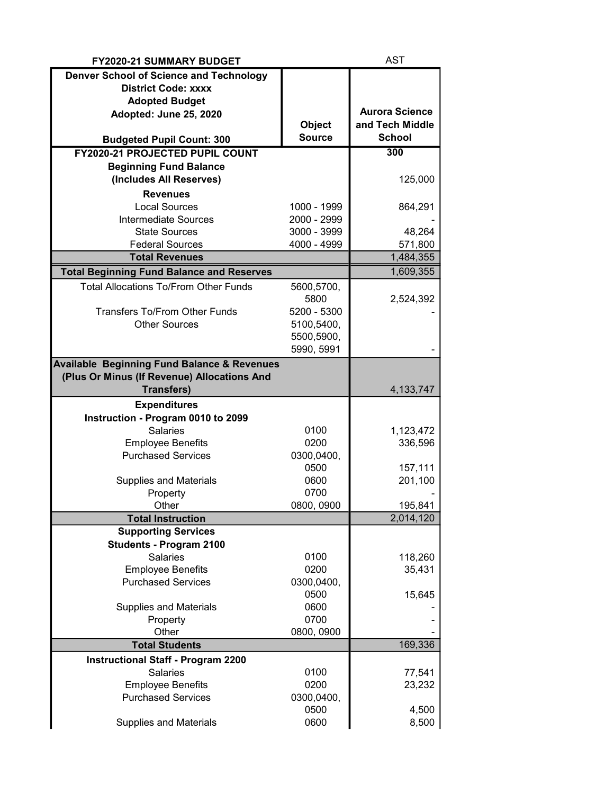| <b>FY2020-21 SUMMARY BUDGET</b>                                                                       |                          | <b>AST</b>            |
|-------------------------------------------------------------------------------------------------------|--------------------------|-----------------------|
| <b>Denver School of Science and Technology</b>                                                        |                          |                       |
| <b>District Code: xxxx</b>                                                                            |                          |                       |
| <b>Adopted Budget</b>                                                                                 |                          |                       |
| Adopted: June 25, 2020                                                                                |                          | <b>Aurora Science</b> |
|                                                                                                       | <b>Object</b>            | and Tech Middle       |
| <b>Budgeted Pupil Count: 300</b>                                                                      | <b>Source</b>            | <b>School</b>         |
| <b>FY2020-21 PROJECTED PUPIL COUNT</b>                                                                |                          | 300                   |
| <b>Beginning Fund Balance</b>                                                                         |                          |                       |
| (Includes All Reserves)                                                                               |                          | 125,000               |
| <b>Revenues</b>                                                                                       |                          |                       |
| <b>Local Sources</b>                                                                                  | 1000 - 1999              | 864,291               |
| <b>Intermediate Sources</b>                                                                           | 2000 - 2999              |                       |
| <b>State Sources</b>                                                                                  | 3000 - 3999              | 48,264                |
| <b>Federal Sources</b>                                                                                | 4000 - 4999              | 571,800               |
| <b>Total Revenues</b>                                                                                 |                          | 1,484,355             |
| <b>Total Beginning Fund Balance and Reserves</b>                                                      |                          | 1,609,355             |
| <b>Total Allocations To/From Other Funds</b>                                                          | 5600,5700,               |                       |
|                                                                                                       | 5800                     | 2,524,392             |
| <b>Transfers To/From Other Funds</b>                                                                  | 5200 - 5300              |                       |
| <b>Other Sources</b>                                                                                  | 5100,5400,               |                       |
|                                                                                                       | 5500,5900,<br>5990, 5991 |                       |
|                                                                                                       |                          |                       |
| <b>Available Beginning Fund Balance &amp; Revenues</b><br>(Plus Or Minus (If Revenue) Allocations And |                          |                       |
| <b>Transfers)</b>                                                                                     |                          | 4, 133, 747           |
| <b>Expenditures</b>                                                                                   |                          |                       |
| Instruction - Program 0010 to 2099                                                                    |                          |                       |
| <b>Salaries</b>                                                                                       | 0100                     | 1,123,472             |
| <b>Employee Benefits</b>                                                                              | 0200                     | 336,596               |
| <b>Purchased Services</b>                                                                             | 0300,0400,               |                       |
|                                                                                                       | 0500                     | 157,111               |
| <b>Supplies and Materials</b>                                                                         | 0600                     | 201,100               |
| Property                                                                                              | 0700                     |                       |
| Other                                                                                                 | 0800, 0900               | 195,841               |
| <b>Total Instruction</b>                                                                              |                          | 2,014,120             |
| <b>Supporting Services</b>                                                                            |                          |                       |
| <b>Students - Program 2100</b>                                                                        |                          |                       |
| <b>Salaries</b>                                                                                       | 0100                     | 118,260               |
| <b>Employee Benefits</b>                                                                              | 0200                     | 35,431                |
| <b>Purchased Services</b>                                                                             | 0300,0400,               |                       |
|                                                                                                       | 0500                     | 15,645                |
| <b>Supplies and Materials</b>                                                                         | 0600<br>0700             |                       |
| Property<br>Other                                                                                     | 0800, 0900               |                       |
| <b>Total Students</b>                                                                                 |                          | 169,336               |
| <b>Instructional Staff - Program 2200</b>                                                             |                          |                       |
| Salaries                                                                                              | 0100                     | 77,541                |
| <b>Employee Benefits</b>                                                                              | 0200                     | 23,232                |
| <b>Purchased Services</b>                                                                             | 0300,0400,               |                       |
|                                                                                                       | 0500                     | 4,500                 |
| <b>Supplies and Materials</b>                                                                         | 0600                     | 8,500                 |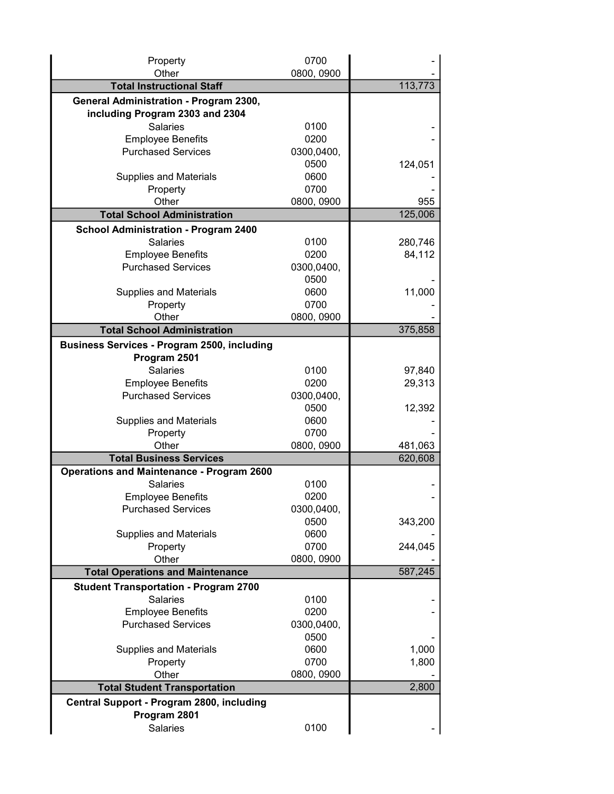| Property                                           | 0700       |         |
|----------------------------------------------------|------------|---------|
| Other<br><b>Total Instructional Staff</b>          | 0800, 0900 | 113,773 |
| General Administration - Program 2300,             |            |         |
| including Program 2303 and 2304                    |            |         |
| <b>Salaries</b>                                    | 0100       |         |
| <b>Employee Benefits</b>                           | 0200       |         |
| <b>Purchased Services</b>                          | 0300,0400, |         |
|                                                    | 0500       | 124,051 |
| <b>Supplies and Materials</b>                      | 0600       |         |
| Property                                           | 0700       |         |
| Other                                              | 0800, 0900 | 955     |
| <b>Total School Administration</b>                 |            | 125,006 |
| <b>School Administration - Program 2400</b>        |            |         |
| <b>Salaries</b>                                    | 0100       | 280,746 |
| <b>Employee Benefits</b>                           | 0200       | 84,112  |
| <b>Purchased Services</b>                          | 0300,0400, |         |
|                                                    | 0500       |         |
| <b>Supplies and Materials</b>                      | 0600       | 11,000  |
| Property                                           | 0700       |         |
| Other                                              | 0800, 0900 |         |
| <b>Total School Administration</b>                 |            | 375,858 |
| <b>Business Services - Program 2500, including</b> |            |         |
| Program 2501                                       |            |         |
| <b>Salaries</b>                                    | 0100       | 97,840  |
| <b>Employee Benefits</b>                           | 0200       | 29,313  |
| <b>Purchased Services</b>                          | 0300,0400, |         |
|                                                    | 0500       | 12,392  |
| <b>Supplies and Materials</b>                      | 0600       |         |
| Property                                           | 0700       |         |
| Other                                              | 0800, 0900 | 481,063 |
| <b>Total Business Services</b>                     |            | 620,608 |
| <b>Operations and Maintenance - Program 2600</b>   |            |         |
| <b>Salaries</b>                                    | 0100       |         |
| <b>Employee Benefits</b>                           | 0200       |         |
| <b>Purchased Services</b>                          | 0300,0400, |         |
|                                                    | 0500       | 343,200 |
| <b>Supplies and Materials</b>                      | 0600       |         |
| Property                                           | 0700       | 244,045 |
| Other                                              | 0800, 0900 |         |
| <b>Total Operations and Maintenance</b>            |            | 587,245 |
| <b>Student Transportation - Program 2700</b>       |            |         |
| <b>Salaries</b>                                    | 0100       |         |
| <b>Employee Benefits</b>                           | 0200       |         |
| <b>Purchased Services</b>                          | 0300,0400, |         |
|                                                    | 0500       |         |
| <b>Supplies and Materials</b>                      | 0600       | 1,000   |
| Property                                           | 0700       | 1,800   |
| Other                                              | 0800, 0900 | 2,800   |
| <b>Total Student Transportation</b>                |            |         |
| Central Support - Program 2800, including          |            |         |
| Program 2801                                       |            |         |
| <b>Salaries</b>                                    | 0100       |         |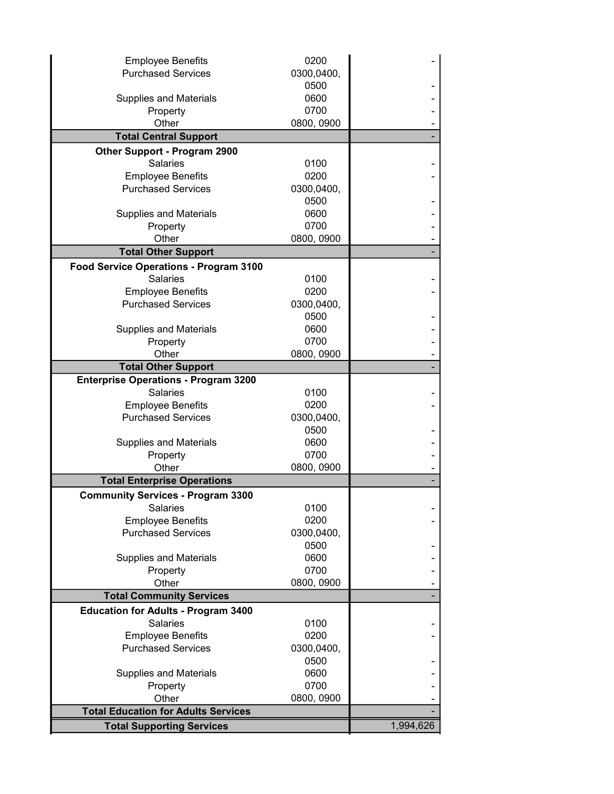| <b>Employee Benefits</b>                    | 0200       |           |
|---------------------------------------------|------------|-----------|
| <b>Purchased Services</b>                   | 0300,0400, |           |
|                                             | 0500       |           |
| <b>Supplies and Materials</b>               | 0600       |           |
| Property                                    | 0700       |           |
| Other                                       | 0800, 0900 |           |
| <b>Total Central Support</b>                |            |           |
| <b>Other Support - Program 2900</b>         |            |           |
| <b>Salaries</b>                             | 0100       |           |
| <b>Employee Benefits</b>                    | 0200       |           |
| <b>Purchased Services</b>                   | 0300,0400, |           |
|                                             | 0500       |           |
| <b>Supplies and Materials</b>               | 0600       |           |
| Property                                    | 0700       |           |
| Other                                       | 0800, 0900 |           |
| <b>Total Other Support</b>                  |            |           |
| Food Service Operations - Program 3100      |            |           |
| <b>Salaries</b>                             | 0100       |           |
| <b>Employee Benefits</b>                    | 0200       |           |
| <b>Purchased Services</b>                   | 0300,0400, |           |
|                                             | 0500       |           |
| <b>Supplies and Materials</b>               | 0600       |           |
| Property                                    | 0700       |           |
| Other                                       | 0800, 0900 |           |
| <b>Total Other Support</b>                  |            |           |
| <b>Enterprise Operations - Program 3200</b> |            |           |
| <b>Salaries</b>                             | 0100       |           |
| <b>Employee Benefits</b>                    | 0200       |           |
| <b>Purchased Services</b>                   | 0300,0400, |           |
|                                             | 0500       |           |
| <b>Supplies and Materials</b>               | 0600       |           |
| Property                                    | 0700       |           |
| Other                                       | 0800, 0900 |           |
| <b>Total Enterprise Operations</b>          |            |           |
| <b>Community Services - Program 3300</b>    |            |           |
| <b>Salaries</b>                             | 0100       |           |
| <b>Employee Benefits</b>                    | 0200       |           |
| <b>Purchased Services</b>                   | 0300,0400, |           |
|                                             | 0500       |           |
| <b>Supplies and Materials</b>               | 0600       |           |
| Property                                    | 0700       |           |
| Other                                       | 0800, 0900 |           |
| <b>Total Community Services</b>             |            |           |
| <b>Education for Adults - Program 3400</b>  |            |           |
| Salaries                                    | 0100       |           |
| <b>Employee Benefits</b>                    | 0200       |           |
| <b>Purchased Services</b>                   | 0300,0400, |           |
|                                             | 0500       |           |
| <b>Supplies and Materials</b>               | 0600       |           |
| Property                                    | 0700       |           |
| Other                                       | 0800, 0900 |           |
| <b>Total Education for Adults Services</b>  |            |           |
| <b>Total Supporting Services</b>            |            | 1,994,626 |
|                                             |            |           |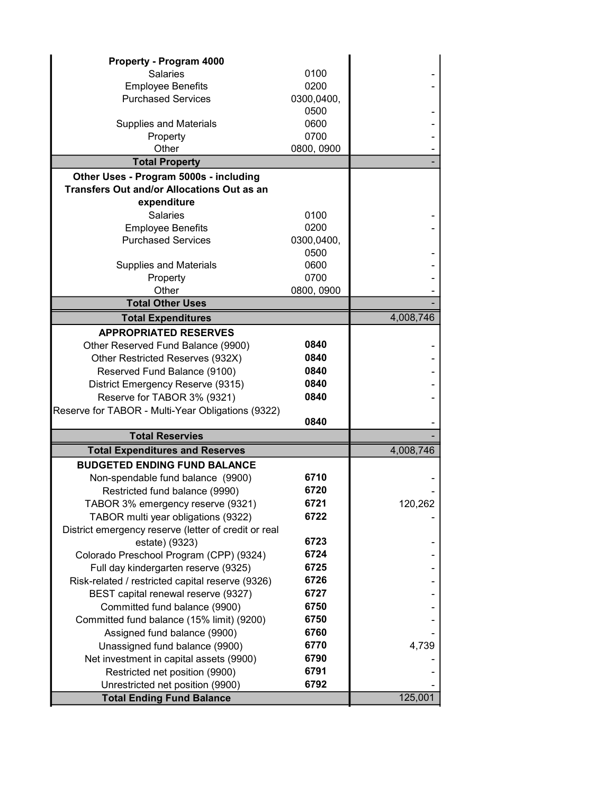| Property - Program 4000                              |            |           |
|------------------------------------------------------|------------|-----------|
| <b>Salaries</b>                                      | 0100       |           |
| <b>Employee Benefits</b>                             | 0200       |           |
| <b>Purchased Services</b>                            | 0300,0400, |           |
|                                                      | 0500       |           |
| <b>Supplies and Materials</b>                        | 0600       |           |
| Property                                             | 0700       |           |
| Other                                                | 0800, 0900 |           |
| <b>Total Property</b>                                |            |           |
| Other Uses - Program 5000s - including               |            |           |
| <b>Transfers Out and/or Allocations Out as an</b>    |            |           |
| expenditure                                          |            |           |
| <b>Salaries</b>                                      | 0100       |           |
| <b>Employee Benefits</b>                             | 0200       |           |
| <b>Purchased Services</b>                            | 0300,0400, |           |
|                                                      | 0500       |           |
| <b>Supplies and Materials</b>                        | 0600       |           |
| Property                                             | 0700       |           |
| Other                                                | 0800, 0900 |           |
| <b>Total Other Uses</b>                              |            |           |
| <b>Total Expenditures</b>                            |            | 4,008,746 |
| <b>APPROPRIATED RESERVES</b>                         |            |           |
| Other Reserved Fund Balance (9900)                   | 0840       |           |
| Other Restricted Reserves (932X)                     | 0840       |           |
| Reserved Fund Balance (9100)                         | 0840       |           |
| District Emergency Reserve (9315)                    | 0840       |           |
| Reserve for TABOR 3% (9321)                          | 0840       |           |
| Reserve for TABOR - Multi-Year Obligations (9322)    |            |           |
|                                                      | 0840       |           |
| <b>Total Reservies</b>                               |            |           |
| <b>Total Expenditures and Reserves</b>               |            | 4,008,746 |
| <b>BUDGETED ENDING FUND BALANCE</b>                  |            |           |
| Non-spendable fund balance (9900)                    | 6710       |           |
| Restricted fund balance (9990)                       | 6720       |           |
| TABOR 3% emergency reserve (9321)                    | 6721       | 120,262   |
| TABOR multi year obligations (9322)                  | 6722       |           |
| District emergency reserve (letter of credit or real |            |           |
| estate) (9323)                                       | 6723       |           |
| Colorado Preschool Program (CPP) (9324)              | 6724       |           |
| Full day kindergarten reserve (9325)                 | 6725       |           |
| Risk-related / restricted capital reserve (9326)     | 6726       |           |
| BEST capital renewal reserve (9327)                  | 6727       |           |
| Committed fund balance (9900)                        | 6750       |           |
| Committed fund balance (15% limit) (9200)            | 6750       |           |
| Assigned fund balance (9900)                         | 6760       |           |
| Unassigned fund balance (9900)                       | 6770       | 4,739     |
| Net investment in capital assets (9900)              | 6790       |           |
| Restricted net position (9900)                       | 6791       |           |
| Unrestricted net position (9900)                     | 6792       |           |
| <b>Total Ending Fund Balance</b>                     |            | 125,001   |